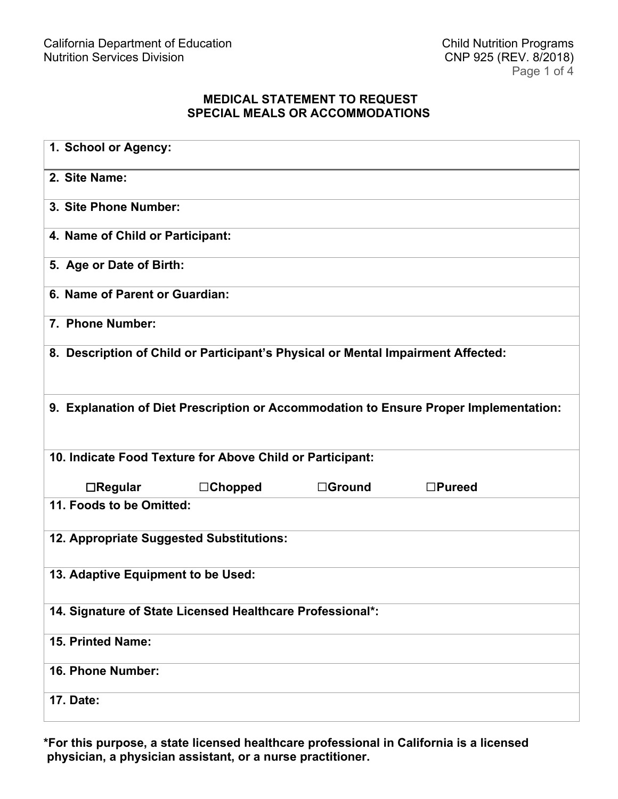## **MEDICAL STATEMENT TO REQUEST SPECIAL MEALS OR ACCOMMODATIONS**

| 1. School or Agency:                                                                  |               |                  |
|---------------------------------------------------------------------------------------|---------------|------------------|
| 2. Site Name:                                                                         |               |                  |
| 3. Site Phone Number:                                                                 |               |                  |
| 4. Name of Child or Participant:                                                      |               |                  |
| 5. Age or Date of Birth:                                                              |               |                  |
| 6. Name of Parent or Guardian:                                                        |               |                  |
| 7. Phone Number:                                                                      |               |                  |
| 8. Description of Child or Participant's Physical or Mental Impairment Affected:      |               |                  |
| 9. Explanation of Diet Prescription or Accommodation to Ensure Proper Implementation: |               |                  |
| 10. Indicate Food Texture for Above Child or Participant:                             |               |                  |
| $\Box$ Regular<br>$\Box$ Chopped                                                      | $\Box$ Ground | $\square$ Pureed |
| 11. Foods to be Omitted:                                                              |               |                  |
| 12. Appropriate Suggested Substitutions:                                              |               |                  |
| 13. Adaptive Equipment to be Used:                                                    |               |                  |
| 14. Signature of State Licensed Healthcare Professional*:                             |               |                  |
| 15. Printed Name:                                                                     |               |                  |
| 16. Phone Number:                                                                     |               |                  |
| <b>17. Date:</b>                                                                      |               |                  |

**\*For this purpose, a state licensed healthcare professional in California is a licensed physician, a physician assistant, or a nurse practitioner.**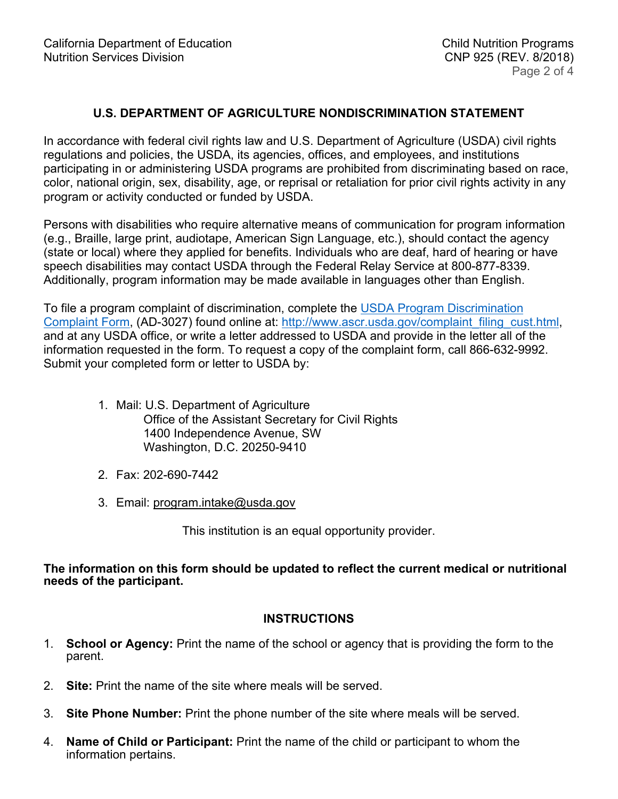## **U.S. DEPARTMENT OF AGRICULTURE NONDISCRIMINATION STATEMENT**

In accordance with federal civil rights law and U.S. Department of Agriculture (USDA) civil rights regulations and policies, the USDA, its agencies, offices, and employees, and institutions participating in or administering USDA programs are prohibited from discriminating based on race, color, national origin, sex, disability, age, or reprisal or retaliation for prior civil rights activity in any program or activity conducted or funded by USDA.

Persons with disabilities who require alternative means of communication for program information (e.g., Braille, large print, audiotape, American Sign Language, etc.), should contact the agency (state or local) where they applied for benefits. Individuals who are deaf, hard of hearing or have speech disabilities may contact USDA through the Federal Relay Service at 800-877-8339. Additionally, program information may be made available in languages other than English.

To file a program complaint of discrimination, complete the [USDA Program Discrimination](http://www.ascr.usda.gov/complaint_filing_cust.html)  [Complaint Form,](http://www.ascr.usda.gov/complaint_filing_cust.html) (AD-3027) found online at: [http://www.ascr.usda.gov/complaint\\_filing\\_cust.html,](http://www.ascr.usda.gov/complaint_filing_cust.html) and at any USDA office, or write a letter addressed to USDA and provide in the letter all of the information requested in the form. To request a copy of the complaint form, call 866-632-9992. Submit your completed form or letter to USDA by:

- 1. Mail: U.S. Department of Agriculture Office of the Assistant Secretary for Civil Rights 1400 Independence Avenue, SW Washington, D.C. 20250-9410
- 2. Fax: 202-690-7442
- 3. Email: [program.intake@usda.gov](mailto:program.intake@usda.gov)

This institution is an equal opportunity provider.

**The information on this form should be updated to reflect the current medical or nutritional needs of the participant.**

## **INSTRUCTIONS**

- 1. **School or Agency:** Print the name of the school or agency that is providing the form to the parent.
- 2. **Site:** Print the name of the site where meals will be served.
- 3. **Site Phone Number:** Print the phone number of the site where meals will be served.
- 4. **Name of Child or Participant:** Print the name of the child or participant to whom the information pertains.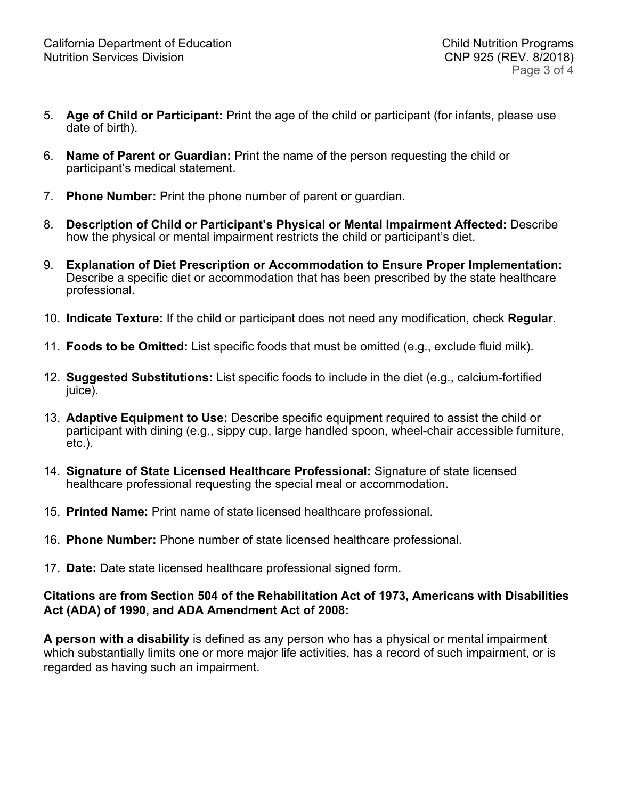- 5. **Age of Child or Participant:** Print the age of the child or participant (for infants, please use date of birth).
- 6. **Name of Parent or Guardian:** Print the name of the person requesting the child or participant's medical statement.
- 7. **Phone Number:** Print the phone number of parent or guardian.
- 8. **Description of Child or Participant's Physical or Mental Impairment Affected:** Describe how the physical or mental impairment restricts the child or participant's diet.
- 9. **Explanation of Diet Prescription or Accommodation to Ensure Proper Implementation:** Describe a specific diet or accommodation that has been prescribed by the state healthcare professional.
- 10. **Indicate Texture:** If the child or participant does not need any modification, check **Regular**.
- 11. **Foods to be Omitted:** List specific foods that must be omitted (e.g., exclude fluid milk).
- 12. **Suggested Substitutions:** List specific foods to include in the diet (e.g., calcium-fortified juice).
- 13. **Adaptive Equipment to Use:** Describe specific equipment required to assist the child or participant with dining (e.g., sippy cup, large handled spoon, wheel-chair accessible furniture, etc.).
- 14. **Signature of State Licensed Healthcare Professional:** Signature of state licensed healthcare professional requesting the special meal or accommodation.
- 15. **Printed Name:** Print name of state licensed healthcare professional.
- 16. **Phone Number:** Phone number of state licensed healthcare professional.
- 17. **Date:** Date state licensed healthcare professional signed form.

## **Citations are from Section 504 of the Rehabilitation Act of 1973, Americans with Disabilities Act (ADA) of 1990, and ADA Amendment Act of 2008:**

**A person with a disability** is defined as any person who has a physical or mental impairment which substantially limits one or more major life activities, has a record of such impairment, or is regarded as having such an impairment.